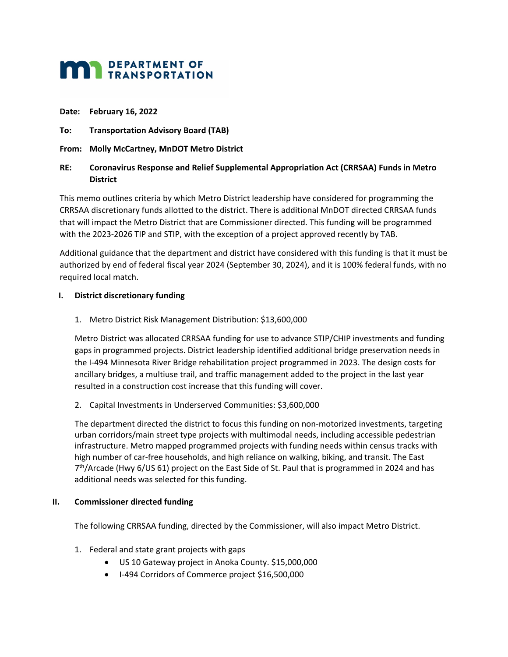# **MAN DEPARTMENT OF TRANSPORTATION**

#### **Date: February 16, 2022**

- **To: Transportation Advisory Board (TAB)**
- **From: Molly McCartney, MnDOT Metro District**

## **RE: Coronavirus Response and Relief Supplemental Appropriation Act (CRRSAA) Funds in Metro District**

This memo outlines criteria by which Metro District leadership have considered for programming the CRRSAA discretionary funds allotted to the district. There is additional MnDOT directed CRRSAA funds that will impact the Metro District that are Commissioner directed. This funding will be programmed with the 2023-2026 TIP and STIP, with the exception of a project approved recently by TAB.

Additional guidance that the department and district have considered with this funding is that it must be authorized by end of federal fiscal year 2024 (September 30, 2024), and it is 100% federal funds, with no required local match.

## **I. District discretionary funding**

1. Metro District Risk Management Distribution: \$13,600,000

Metro District was allocated CRRSAA funding for use to advance STIP/CHIP investments and funding gaps in programmed projects. District leadership identified additional bridge preservation needs in the I-494 Minnesota River Bridge rehabilitation project programmed in 2023. The design costs for ancillary bridges, a multiuse trail, and traffic management added to the project in the last year resulted in a construction cost increase that this funding will cover.

2. Capital Investments in Underserved Communities: \$3,600,000

The department directed the district to focus this funding on non-motorized investments, targeting urban corridors/main street type projects with multimodal needs, including accessible pedestrian infrastructure. Metro mapped programmed projects with funding needs within census tracks with high number of car-free households, and high reliance on walking, biking, and transit. The East  $7<sup>th</sup>/Area$ de (Hwy 6/US 61) project on the East Side of St. Paul that is programmed in 2024 and has additional needs was selected for this funding.

## **II. Commissioner directed funding**

The following CRRSAA funding, directed by the Commissioner, will also impact Metro District.

- 1. Federal and state grant projects with gaps
	- US 10 Gateway project in Anoka County. \$15,000,000
	- I-494 Corridors of Commerce project \$16,500,000